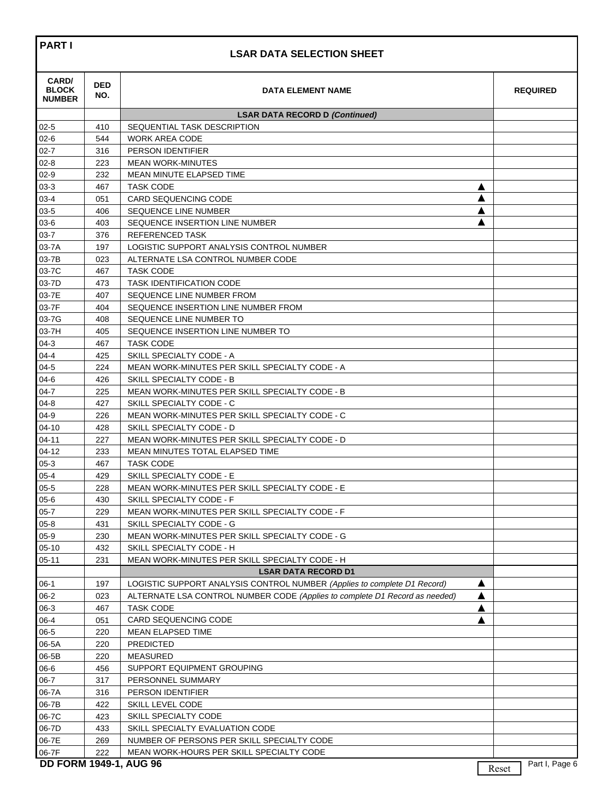## **LSAR DATA SELECTION SHEET**

| CARD/<br><b>BLOCK</b><br><b>NUMBER</b> | <b>DED</b><br>NO. | <b>DATA ELEMENT NAME</b>                                                         |       | <b>REQUIRED</b> |
|----------------------------------------|-------------------|----------------------------------------------------------------------------------|-------|-----------------|
|                                        |                   | <b>LSAR DATA RECORD D (Continued)</b>                                            |       |                 |
| $02 - 5$                               | 410               | SEQUENTIAL TASK DESCRIPTION                                                      |       |                 |
| $02 - 6$                               | 544               | <b>WORK AREA CODE</b>                                                            |       |                 |
| $02 - 7$                               | 316               | PERSON IDENTIFIER                                                                |       |                 |
| $02 - 8$                               | 223               | <b>MEAN WORK-MINUTES</b>                                                         |       |                 |
| $02-9$                                 | 232               | MEAN MINUTE ELAPSED TIME                                                         |       |                 |
| $03-3$                                 | 467               | <b>TASK CODE</b><br>▲                                                            |       |                 |
| $03 - 4$                               | 051               | ▲<br><b>CARD SEQUENCING CODE</b>                                                 |       |                 |
| $03 - 5$                               | 406               | ▲<br><b>SEQUENCE LINE NUMBER</b>                                                 |       |                 |
| $03-6$                                 | 403               | SEQUENCE INSERTION LINE NUMBER                                                   |       |                 |
| $03 - 7$                               | 376               | <b>REFERENCED TASK</b>                                                           |       |                 |
| 03-7A                                  | 197               | LOGISTIC SUPPORT ANALYSIS CONTROL NUMBER                                         |       |                 |
| 03-7B                                  | 023               | ALTERNATE LSA CONTROL NUMBER CODE                                                |       |                 |
| 03-7C                                  | 467               | <b>TASK CODE</b>                                                                 |       |                 |
| 03-7D                                  | 473               | <b>TASK IDENTIFICATION CODE</b>                                                  |       |                 |
| 03-7E                                  | 407               | SEQUENCE LINE NUMBER FROM                                                        |       |                 |
| 03-7F                                  | 404               | SEQUENCE INSERTION LINE NUMBER FROM                                              |       |                 |
| 03-7G                                  | 408               | SEQUENCE LINE NUMBER TO                                                          |       |                 |
| 03-7H                                  | 405               | SEQUENCE INSERTION LINE NUMBER TO                                                |       |                 |
| $04-3$                                 | 467               | <b>TASK CODE</b>                                                                 |       |                 |
| $04 - 4$                               | 425               | SKILL SPECIALTY CODE - A                                                         |       |                 |
| $04 - 5$                               | 224               | MEAN WORK-MINUTES PER SKILL SPECIALTY CODE - A                                   |       |                 |
| $04 - 6$                               | 426               | SKILL SPECIALTY CODE - B                                                         |       |                 |
| $04 - 7$                               | 225               | MEAN WORK-MINUTES PER SKILL SPECIALTY CODE - B                                   |       |                 |
| $04 - 8$                               | 427               | SKILL SPECIALTY CODE - C                                                         |       |                 |
| $04 - 9$                               | 226               | MEAN WORK-MINUTES PER SKILL SPECIALTY CODE - C                                   |       |                 |
| $04 - 10$                              | 428               | SKILL SPECIALTY CODE - D                                                         |       |                 |
| $04 - 11$                              | 227               | MEAN WORK-MINUTES PER SKILL SPECIALTY CODE - D                                   |       |                 |
| $04 - 12$                              | 233               | MEAN MINUTES TOTAL ELAPSED TIME                                                  |       |                 |
| $05-3$                                 | 467               | <b>TASK CODE</b>                                                                 |       |                 |
| $05 - 4$                               | 429               | SKILL SPECIALTY CODE - E                                                         |       |                 |
| $05 - 5$                               | 228               | MEAN WORK-MINUTES PER SKILL SPECIALTY CODE - E                                   |       |                 |
| $05 - 6$<br>$05 - 7$                   | 430               | SKILL SPECIALTY CODE - F                                                         |       |                 |
|                                        | 229               | MEAN WORK-MINUTES PER SKILL SPECIALTY CODE - F                                   |       |                 |
| $05 - 8$<br>$05-9$                     | 431<br>230        | SKILL SPECIALTY CODE - G<br>MEAN WORK-MINUTES PER SKILL SPECIALTY CODE - G       |       |                 |
| $05-10$                                | 432               | SKILL SPECIALTY CODE - H                                                         |       |                 |
| $05 - 11$                              | 231               | MEAN WORK-MINUTES PER SKILL SPECIALTY CODE - H                                   |       |                 |
|                                        |                   | <b>LSAR DATA RECORD D1</b>                                                       |       |                 |
| $06-1$                                 | 197               | LOGISTIC SUPPORT ANALYSIS CONTROL NUMBER (Applies to complete D1 Record)<br>▲    |       |                 |
| $06-2$                                 | 023               | ALTERNATE LSA CONTROL NUMBER CODE (Applies to complete D1 Record as needed)<br>▲ |       |                 |
| $06-3$                                 | 467               | <b>TASK CODE</b><br>▲                                                            |       |                 |
| $06 - 4$                               | 051               | CARD SEQUENCING CODE                                                             |       |                 |
| $06 - 5$                               | 220               | <b>MEAN ELAPSED TIME</b>                                                         |       |                 |
| 06-5A                                  | 220               | <b>PREDICTED</b>                                                                 |       |                 |
| 06-5B                                  | 220               | <b>MEASURED</b>                                                                  |       |                 |
| 06-6                                   | 456               | SUPPORT EQUIPMENT GROUPING                                                       |       |                 |
| $06 - 7$                               | 317               | PERSONNEL SUMMARY                                                                |       |                 |
| 06-7A                                  | 316               | PERSON IDENTIFIER                                                                |       |                 |
| 06-7B                                  | 422               | SKILL LEVEL CODE                                                                 |       |                 |
| 06-7C                                  | 423               | SKILL SPECIALTY CODE                                                             |       |                 |
| 06-7D                                  | 433               | SKILL SPECIALTY EVALUATION CODE                                                  |       |                 |
| 06-7E                                  | 269               | NUMBER OF PERSONS PER SKILL SPECIALTY CODE                                       |       |                 |
| 06-7F                                  | 222               | MEAN WORK-HOURS PER SKILL SPECIALTY CODE                                         |       |                 |
| <b>DD FORM 1949-1, AUG 96</b>          |                   |                                                                                  |       | Part I, Page 6  |
|                                        |                   |                                                                                  | Reset |                 |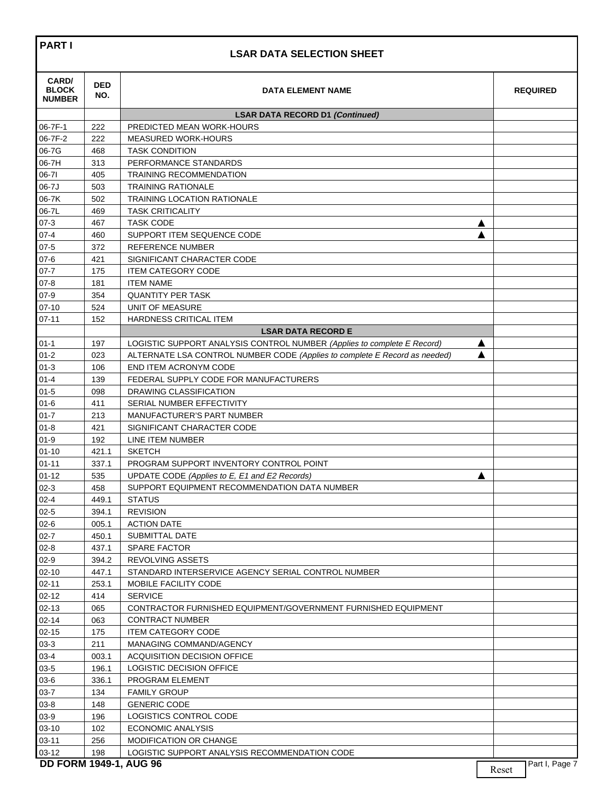## **LSAR DATA SELECTION SHEET**

| CARD/<br><b>BLOCK</b><br><b>NUMBER</b> | <b>DED</b><br>NO. | <b>DATA ELEMENT NAME</b>                                                   |   |       | <b>REQUIRED</b> |
|----------------------------------------|-------------------|----------------------------------------------------------------------------|---|-------|-----------------|
|                                        |                   | <b>LSAR DATA RECORD D1 (Continued)</b>                                     |   |       |                 |
| 06-7F-1                                | 222               | PREDICTED MEAN WORK-HOURS                                                  |   |       |                 |
| 06-7F-2                                | 222               | <b>MEASURED WORK-HOURS</b>                                                 |   |       |                 |
| 06-7G                                  | 468               | <b>TASK CONDITION</b>                                                      |   |       |                 |
| 06-7H                                  | 313               | PERFORMANCE STANDARDS                                                      |   |       |                 |
| 06-71                                  | 405               | <b>TRAINING RECOMMENDATION</b>                                             |   |       |                 |
| 06-7J                                  | 503               | <b>TRAINING RATIONALE</b>                                                  |   |       |                 |
| 06-7K                                  | 502               | <b>TRAINING LOCATION RATIONALE</b>                                         |   |       |                 |
| 06-7L                                  | 469               | <b>TASK CRITICALITY</b>                                                    |   |       |                 |
| $07-3$                                 | 467               | <b>TASK CODE</b>                                                           | ▲ |       |                 |
| $07 - 4$                               | 460               | SUPPORT ITEM SEQUENCE CODE                                                 |   |       |                 |
| $07 - 5$                               | 372               | <b>REFERENCE NUMBER</b>                                                    |   |       |                 |
| $07 - 6$                               | 421               | SIGNIFICANT CHARACTER CODE                                                 |   |       |                 |
| $07 - 7$                               | 175               | <b>ITEM CATEGORY CODE</b>                                                  |   |       |                 |
| $07 - 8$                               | 181               | <b>ITEM NAME</b>                                                           |   |       |                 |
| $07-9$                                 | 354               | <b>QUANTITY PER TASK</b>                                                   |   |       |                 |
| $07-10$                                | 524               | <b>UNIT OF MEASURE</b>                                                     |   |       |                 |
| $07 - 11$                              | 152               | HARDNESS CRITICAL ITEM                                                     |   |       |                 |
|                                        |                   | <b>LSAR DATA RECORD E</b>                                                  |   |       |                 |
| $01 - 1$                               | 197               | LOGISTIC SUPPORT ANALYSIS CONTROL NUMBER (Applies to complete E Record)    | ▲ |       |                 |
| $01 - 2$                               | 023               | ALTERNATE LSA CONTROL NUMBER CODE (Applies to complete E Record as needed) | ▲ |       |                 |
| $01-3$                                 | 106               | END ITEM ACRONYM CODE                                                      |   |       |                 |
| $01 - 4$                               | 139               | FEDERAL SUPPLY CODE FOR MANUFACTURERS                                      |   |       |                 |
| $01 - 5$                               | 098               | DRAWING CLASSIFICATION                                                     |   |       |                 |
| $01 - 6$                               | 411               | SERIAL NUMBER EFFECTIVITY                                                  |   |       |                 |
| $01 - 7$                               | 213               | <b>MANUFACTURER'S PART NUMBER</b>                                          |   |       |                 |
| $01 - 8$                               | 421               | SIGNIFICANT CHARACTER CODE                                                 |   |       |                 |
| $01 - 9$                               | 192               | LINE ITEM NUMBER                                                           |   |       |                 |
| $01 - 10$                              | 421.1             | <b>SKETCH</b>                                                              |   |       |                 |
| $01 - 11$                              | 337.1             | PROGRAM SUPPORT INVENTORY CONTROL POINT                                    |   |       |                 |
| $01 - 12$                              | 535               | UPDATE CODE (Applies to E, E1 and E2 Records)                              | A |       |                 |
| $02-3$                                 | 458               | SUPPORT EQUIPMENT RECOMMENDATION DATA NUMBER                               |   |       |                 |
| $02 - 4$                               | 449.1             | <b>STATUS</b>                                                              |   |       |                 |
| $02 - 5$                               | 394.1             | <b>REVISION</b>                                                            |   |       |                 |
| $02 - 6$                               | 005.1             | <b>ACTION DATE</b>                                                         |   |       |                 |
| $02 - 7$                               | 450.1             | SUBMITTAL DATE                                                             |   |       |                 |
| $02 - 8$                               | 437.1             | SPARE FACTOR                                                               |   |       |                 |
| $02-9$                                 | 394.2             | REVOLVING ASSETS                                                           |   |       |                 |
| $02 - 10$                              | 447.1             | STANDARD INTERSERVICE AGENCY SERIAL CONTROL NUMBER                         |   |       |                 |
| $02 - 11$                              | 253.1             | MOBILE FACILITY CODE                                                       |   |       |                 |
| $02 - 12$                              | 414               | <b>SERVICE</b>                                                             |   |       |                 |
| $02 - 13$                              | 065               | CONTRACTOR FURNISHED EQUIPMENT/GOVERNMENT FURNISHED EQUIPMENT              |   |       |                 |
| $02 - 14$                              | 063               | <b>CONTRACT NUMBER</b>                                                     |   |       |                 |
| $02 - 15$                              | 175               | <b>ITEM CATEGORY CODE</b>                                                  |   |       |                 |
| $03-3$                                 | 211               | MANAGING COMMAND/AGENCY                                                    |   |       |                 |
| $03 - 4$                               | 003.1             | ACQUISITION DECISION OFFICE                                                |   |       |                 |
| $03 - 5$                               | 196.1             | LOGISTIC DECISION OFFICE                                                   |   |       |                 |
| $03-6$                                 | 336.1             | PROGRAM ELEMENT                                                            |   |       |                 |
| $03 - 7$                               | 134               | <b>FAMILY GROUP</b>                                                        |   |       |                 |
| $03 - 8$                               | 148               | <b>GENERIC CODE</b>                                                        |   |       |                 |
| $03 - 9$                               | 196               | LOGISTICS CONTROL CODE                                                     |   |       |                 |
| 03-10                                  | 102               | <b>ECONOMIC ANALYSIS</b>                                                   |   |       |                 |
| $03 - 11$                              | 256               | MODIFICATION OR CHANGE                                                     |   |       |                 |
| 03-12                                  | 198               | LOGISTIC SUPPORT ANALYSIS RECOMMENDATION CODE                              |   |       |                 |
| <b>DD FORM 1949-1, AUG 96</b>          |                   |                                                                            |   | Reset | Part I, Page 7  |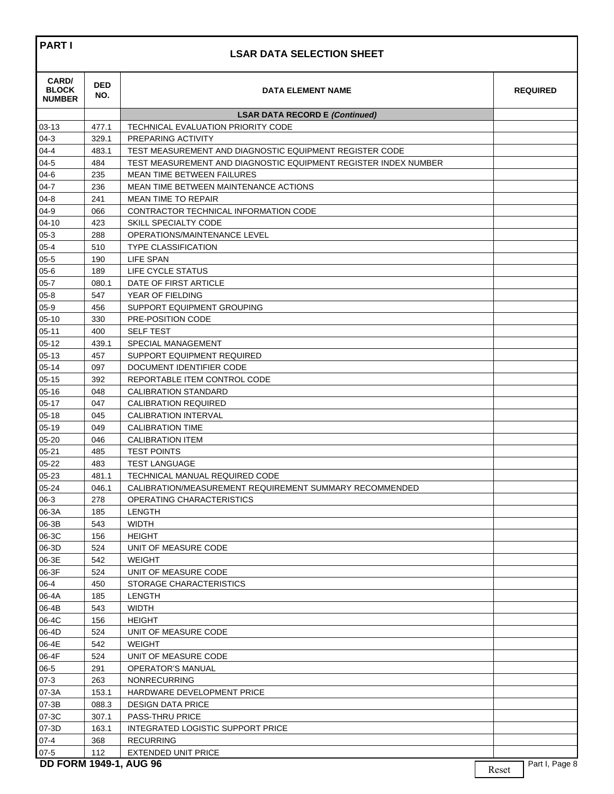## **LSAR DATA SELECTION SHEET**

| CARD/<br><b>BLOCK</b><br><b>NUMBER</b> | <b>DED</b><br>NO. | <b>DATA ELEMENT NAME</b>                                        |       | <b>REQUIRED</b> |
|----------------------------------------|-------------------|-----------------------------------------------------------------|-------|-----------------|
|                                        |                   | <b>LSAR DATA RECORD E (Continued)</b>                           |       |                 |
| $03 - 13$                              | 477.1             | <b>TECHNICAL EVALUATION PRIORITY CODE</b>                       |       |                 |
| $04-3$                                 | 329.1             | <b>PREPARING ACTIVITY</b>                                       |       |                 |
| $04 - 4$                               | 483.1             | TEST MEASUREMENT AND DIAGNOSTIC EQUIPMENT REGISTER CODE         |       |                 |
| $04 - 5$                               | 484               | TEST MEASUREMENT AND DIAGNOSTIC EQUIPMENT REGISTER INDEX NUMBER |       |                 |
| $04-6$                                 | 235               | <b>MEAN TIME BETWEEN FAILURES</b>                               |       |                 |
| $04 - 7$                               | 236               | MEAN TIME BETWEEN MAINTENANCE ACTIONS                           |       |                 |
| $04 - 8$                               | 241               | <b>MEAN TIME TO REPAIR</b>                                      |       |                 |
| $04 - 9$                               | 066               | CONTRACTOR TECHNICAL INFORMATION CODE                           |       |                 |
| $04 - 10$                              | 423               | SKILL SPECIALTY CODE                                            |       |                 |
| $05-3$                                 | 288               | OPERATIONS/MAINTENANCE LEVEL                                    |       |                 |
| 05-4                                   | 510               | <b>TYPE CLASSIFICATION</b>                                      |       |                 |
| $05 - 5$                               | 190               | LIFE SPAN                                                       |       |                 |
| $05-6$                                 | 189               | LIFE CYCLE STATUS                                               |       |                 |
| $05 - 7$                               | 080.1             | DATE OF FIRST ARTICLE                                           |       |                 |
| $05-8$                                 | 547               | YEAR OF FIELDING                                                |       |                 |
| $05-9$                                 | 456               | SUPPORT EQUIPMENT GROUPING                                      |       |                 |
| $05 - 10$                              | 330               | PRE-POSITION CODE                                               |       |                 |
| $05 - 11$                              | 400               | <b>SELF TEST</b>                                                |       |                 |
| $05 - 12$                              | 439.1             | SPECIAL MANAGEMENT                                              |       |                 |
| $05 - 13$                              | 457               | SUPPORT EQUIPMENT REQUIRED                                      |       |                 |
| $05 - 14$                              | 097               | DOCUMENT IDENTIFIER CODE                                        |       |                 |
| $05 - 15$                              | 392               | REPORTABLE ITEM CONTROL CODE                                    |       |                 |
| $05 - 16$                              | 048               | <b>CALIBRATION STANDARD</b>                                     |       |                 |
| $05 - 17$                              | 047               | <b>CALIBRATION REQUIRED</b>                                     |       |                 |
| $05 - 18$                              | 045               | <b>CALIBRATION INTERVAL</b>                                     |       |                 |
| $05 - 19$                              | 049               | <b>CALIBRATION TIME</b>                                         |       |                 |
| $05 - 20$                              | 046               | <b>CALIBRATION ITEM</b>                                         |       |                 |
| $05 - 21$                              | 485               | <b>TEST POINTS</b>                                              |       |                 |
| $05 - 22$                              | 483               | <b>TEST LANGUAGE</b>                                            |       |                 |
|                                        |                   | TECHNICAL MANUAL REQUIRED CODE                                  |       |                 |
| $05 - 23$                              | 481.1             |                                                                 |       |                 |
| 05-24                                  | 046.1             | CALIBRATION/MEASUREMENT REQUIREMENT SUMMARY RECOMMENDED         |       |                 |
| $06-3$                                 | 278               | OPERATING CHARACTERISTICS                                       |       |                 |
| 06-3A                                  | 185               | LENGTH                                                          |       |                 |
| 06-3B                                  | 543               | <b>WIDTH</b>                                                    |       |                 |
| 06-3C                                  | 156               | <b>HEIGHT</b>                                                   |       |                 |
| 06-3D                                  | 524               | UNIT OF MEASURE CODE                                            |       |                 |
| 06-3E                                  | 542               | <b>WEIGHT</b>                                                   |       |                 |
| 06-3F                                  | 524               | UNIT OF MEASURE CODE                                            |       |                 |
| 06-4                                   | 450               | STORAGE CHARACTERISTICS                                         |       |                 |
| 06-4A                                  | 185               | <b>LENGTH</b>                                                   |       |                 |
| 06-4B                                  | 543               | <b>WIDTH</b>                                                    |       |                 |
| 06-4C                                  | 156               | <b>HEIGHT</b>                                                   |       |                 |
| 06-4D                                  | 524               | UNIT OF MEASURE CODE                                            |       |                 |
| 06-4E                                  | 542               | <b>WEIGHT</b>                                                   |       |                 |
| 06-4F                                  | 524               | UNIT OF MEASURE CODE                                            |       |                 |
| $06 - 5$                               | 291               | <b>OPERATOR'S MANUAL</b>                                        |       |                 |
| $07-3$                                 | 263               | <b>NONRECURRING</b>                                             |       |                 |
| 07-3A                                  | 153.1             | HARDWARE DEVELOPMENT PRICE                                      |       |                 |
| 07-3B                                  | 088.3             | <b>DESIGN DATA PRICE</b>                                        |       |                 |
| 07-3C                                  | 307.1             | PASS-THRU PRICE                                                 |       |                 |
| 07-3D                                  | 163.1             | <b>INTEGRATED LOGISTIC SUPPORT PRICE</b>                        |       |                 |
| $07 - 4$                               | 368               | <b>RECURRING</b>                                                |       |                 |
| $07 - 5$                               | 112               | <b>EXTENDED UNIT PRICE</b>                                      |       |                 |
| <b>DD FORM 1949-1, AUG 96</b>          |                   |                                                                 | Reset | Part I, Page 8  |